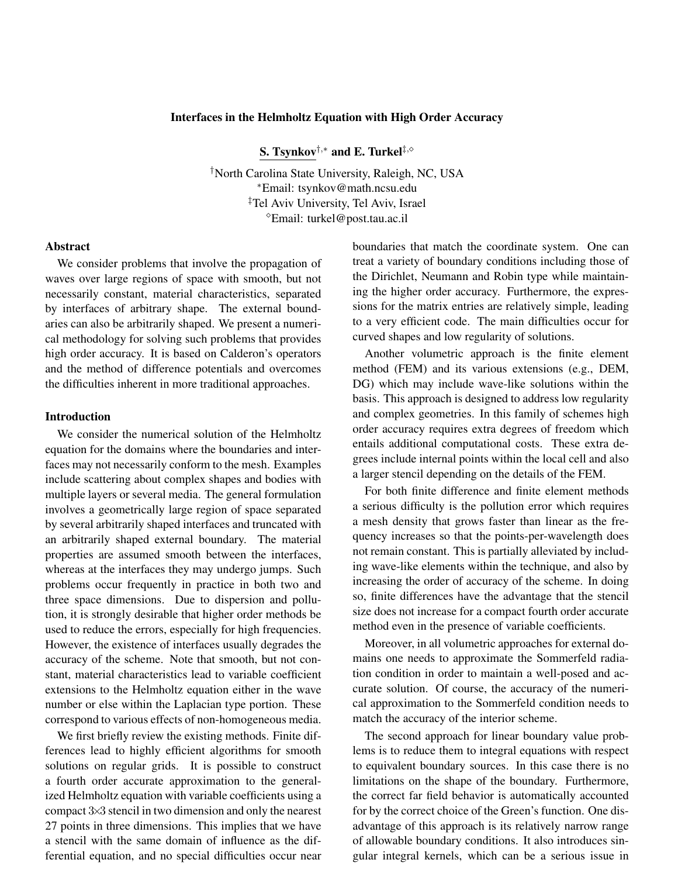# Interfaces in the Helmholtz Equation with High Order Accuracy

S. Tsynkov<sup>†,∗</sup> and E. Turkel<sup>‡,</sup><sup>◇</sup>

†North Carolina State University, Raleigh, NC, USA <sup>∗</sup>Email: tsynkov@math.ncsu.edu ‡Tel Aviv University, Tel Aviv, Israel Email: turkel@post.tau.ac.il

# **Abstract**

We consider problems that involve the propagation of waves over large regions of space with smooth, but not necessarily constant, material characteristics, separated by interfaces of arbitrary shape. The external boundaries can also be arbitrarily shaped. We present a numerical methodology for solving such problems that provides high order accuracy. It is based on Calderon's operators and the method of difference potentials and overcomes the difficulties inherent in more traditional approaches.

## Introduction

We consider the numerical solution of the Helmholtz equation for the domains where the boundaries and interfaces may not necessarily conform to the mesh. Examples include scattering about complex shapes and bodies with multiple layers or several media. The general formulation involves a geometrically large region of space separated by several arbitrarily shaped interfaces and truncated with an arbitrarily shaped external boundary. The material properties are assumed smooth between the interfaces, whereas at the interfaces they may undergo jumps. Such problems occur frequently in practice in both two and three space dimensions. Due to dispersion and pollution, it is strongly desirable that higher order methods be used to reduce the errors, especially for high frequencies. However, the existence of interfaces usually degrades the accuracy of the scheme. Note that smooth, but not constant, material characteristics lead to variable coefficient extensions to the Helmholtz equation either in the wave number or else within the Laplacian type portion. These correspond to various effects of non-homogeneous media.

We first briefly review the existing methods. Finite differences lead to highly efficient algorithms for smooth solutions on regular grids. It is possible to construct a fourth order accurate approximation to the generalized Helmholtz equation with variable coefficients using a compact 3×3 stencil in two dimension and only the nearest 27 points in three dimensions. This implies that we have a stencil with the same domain of influence as the differential equation, and no special difficulties occur near boundaries that match the coordinate system. One can treat a variety of boundary conditions including those of the Dirichlet, Neumann and Robin type while maintaining the higher order accuracy. Furthermore, the expressions for the matrix entries are relatively simple, leading to a very efficient code. The main difficulties occur for curved shapes and low regularity of solutions.

Another volumetric approach is the finite element method (FEM) and its various extensions (e.g., DEM, DG) which may include wave-like solutions within the basis. This approach is designed to address low regularity and complex geometries. In this family of schemes high order accuracy requires extra degrees of freedom which entails additional computational costs. These extra degrees include internal points within the local cell and also a larger stencil depending on the details of the FEM.

For both finite difference and finite element methods a serious difficulty is the pollution error which requires a mesh density that grows faster than linear as the frequency increases so that the points-per-wavelength does not remain constant. This is partially alleviated by including wave-like elements within the technique, and also by increasing the order of accuracy of the scheme. In doing so, finite differences have the advantage that the stencil size does not increase for a compact fourth order accurate method even in the presence of variable coefficients.

Moreover, in all volumetric approaches for external domains one needs to approximate the Sommerfeld radiation condition in order to maintain a well-posed and accurate solution. Of course, the accuracy of the numerical approximation to the Sommerfeld condition needs to match the accuracy of the interior scheme.

The second approach for linear boundary value problems is to reduce them to integral equations with respect to equivalent boundary sources. In this case there is no limitations on the shape of the boundary. Furthermore, the correct far field behavior is automatically accounted for by the correct choice of the Green's function. One disadvantage of this approach is its relatively narrow range of allowable boundary conditions. It also introduces singular integral kernels, which can be a serious issue in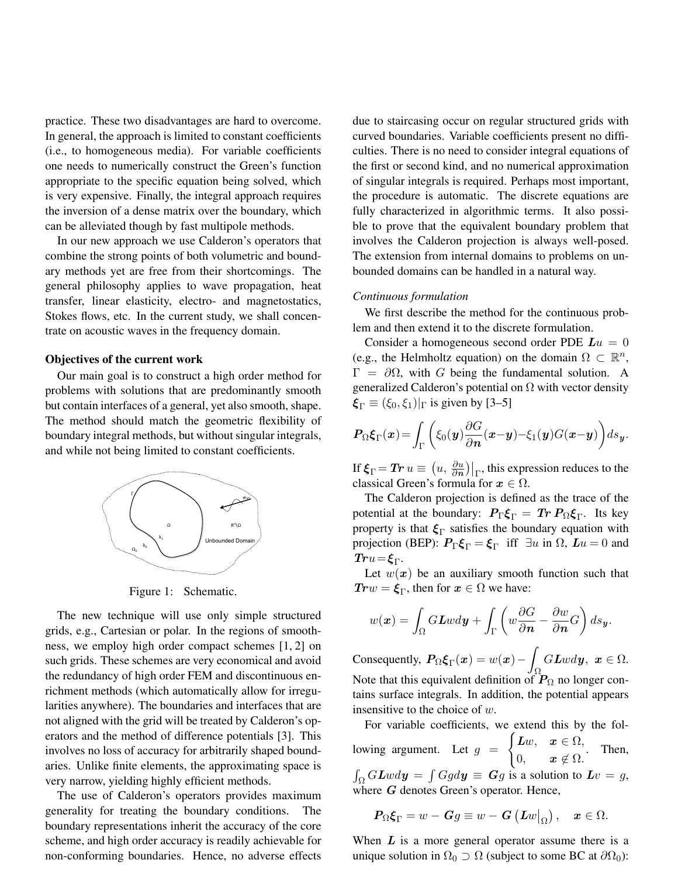practice. These two disadvantages are hard to overcome. In general, the approach is limited to constant coefficients (i.e., to homogeneous media). For variable coefficients one needs to numerically construct the Green's function appropriate to the specific equation being solved, which is very expensive. Finally, the integral approach requires the inversion of a dense matrix over the boundary, which can be alleviated though by fast multipole methods.

In our new approach we use Calderon's operators that combine the strong points of both volumetric and boundary methods yet are free from their shortcomings. The general philosophy applies to wave propagation, heat transfer, linear elasticity, electro- and magnetostatics, Stokes flows, etc. In the current study, we shall concentrate on acoustic waves in the frequency domain.

#### Objectives of the current work

Our main goal is to construct a high order method for problems with solutions that are predominantly smooth but contain interfaces of a general, yet also smooth, shape. The method should match the geometric flexibility of boundary integral methods, but without singular integrals, and while not being limited to constant coefficients.



Figure 1: Schematic.

The new technique will use only simple structured grids, e.g., Cartesian or polar. In the regions of smoothness, we employ high order compact schemes [1, 2] on such grids. These schemes are very economical and avoid the redundancy of high order FEM and discontinuous enrichment methods (which automatically allow for irregularities anywhere). The boundaries and interfaces that are not aligned with the grid will be treated by Calderon's operators and the method of difference potentials [3]. This involves no loss of accuracy for arbitrarily shaped boundaries. Unlike finite elements, the approximating space is very narrow, yielding highly efficient methods.

The use of Calderon's operators provides maximum generality for treating the boundary conditions. boundary representations inherit the accuracy of the core scheme, and high order accuracy is readily achievable for non-conforming boundaries. Hence, no adverse effects due to staircasing occur on regular structured grids with curved boundaries. Variable coefficients present no difficulties. There is no need to consider integral equations of the first or second kind, and no numerical approximation of singular integrals is required. Perhaps most important, the procedure is automatic. The discrete equations are fully characterized in algorithmic terms. It also possible to prove that the equivalent boundary problem that involves the Calderon projection is always well-posed. The extension from internal domains to problems on unbounded domains can be handled in a natural way.

## *Continuous formulation*

We first describe the method for the continuous problem and then extend it to the discrete formulation.

Consider a homogeneous second order PDE  $Lu = 0$ (e.g., the Helmholtz equation) on the domain  $\Omega \subset \mathbb{R}^n$ ,  $\Gamma = \partial \Omega$ , with G being the fundamental solution. A generalized Calderon's potential on  $\Omega$  with vector density  $\xi_{\Gamma} \equiv (\xi_0, \xi_1)|_{\Gamma}$  is given by [3–5]

$$
\boldsymbol{P}_{\Omega}\boldsymbol{\xi}_{\Gamma}(\boldsymbol{x}) = \int_{\Gamma} \bigg( \xi_0(\boldsymbol{y}) \frac{\partial G}{\partial \boldsymbol{n}}(\boldsymbol{x} - \boldsymbol{y}) - \xi_1(\boldsymbol{y}) G(\boldsymbol{x} - \boldsymbol{y}) \bigg) ds_{\boldsymbol{y}}.
$$

If  $\xi_{\Gamma} = Tr u \equiv (u, \frac{\partial u}{\partial n})\Big|_{\Gamma}$ , this expression reduces to the classical Green's formula for  $x \in \Omega$ .

The Calderon projection is defined as the trace of the potential at the boundary:  $P_{\Gamma} \xi_{\Gamma} = Tr P_{\Omega} \xi_{\Gamma}$ . Its key property is that  $\xi_{\Gamma}$  satisfies the boundary equation with projection (BEP):  $P_{\Gamma} \xi_{\Gamma} = \xi_{\Gamma}$  iff  $\exists u$  in  $\Omega$ ,  $Lu = 0$  and  $\boldsymbol{Tru}=\boldsymbol{\xi}_{\Gamma}$ .

Let  $w(x)$  be an auxiliary smooth function such that  $Trw = \xi_{\Gamma}$ , then for  $x \in \Omega$  we have:

$$
w(\boldsymbol{x}) = \int_{\Omega} G\boldsymbol{L}w d\boldsymbol{y} + \int_{\Gamma} \left( w \frac{\partial G}{\partial \boldsymbol{n}} - \frac{\partial w}{\partial \boldsymbol{n}} G \right) ds_{\boldsymbol{y}}.
$$

Consequently,  $P_{\Omega} \xi_{\Gamma}(x) = w(x) - \int$ Ω  $GLwdy, x \in \Omega.$ Note that this equivalent definition of  $P_{\Omega}$  no longer contains surface integrals. In addition, the potential appears insensitive to the choice of w.

For variable coefficients, we extend this by the following argument. Let  $g =$  $\int \mathbf{L} w, \quad \mathbf{x} \in \Omega,$  $0, \quad x \notin \Omega.$ . Then,  $\int_{\Omega} G\textit{L}w d\textit{y} = \int Gg d\textit{y} \equiv \textit{G}g$  is a solution to  $\textit{L}v = g$ , where G denotes Green's operator. Hence,

$$
\boldsymbol{P}_{\Omega}\boldsymbol{\xi}_{\Gamma}=w-\boldsymbol{G}\boldsymbol{g}\equiv w-\boldsymbol{G}\left(\boldsymbol{L}w\big|_{\Omega}\right),\quad \boldsymbol{x}\in\Omega.
$$

When  $L$  is a more general operator assume there is a unique solution in  $\Omega_0 \supset \Omega$  (subject to some BC at  $\partial \Omega_0$ ):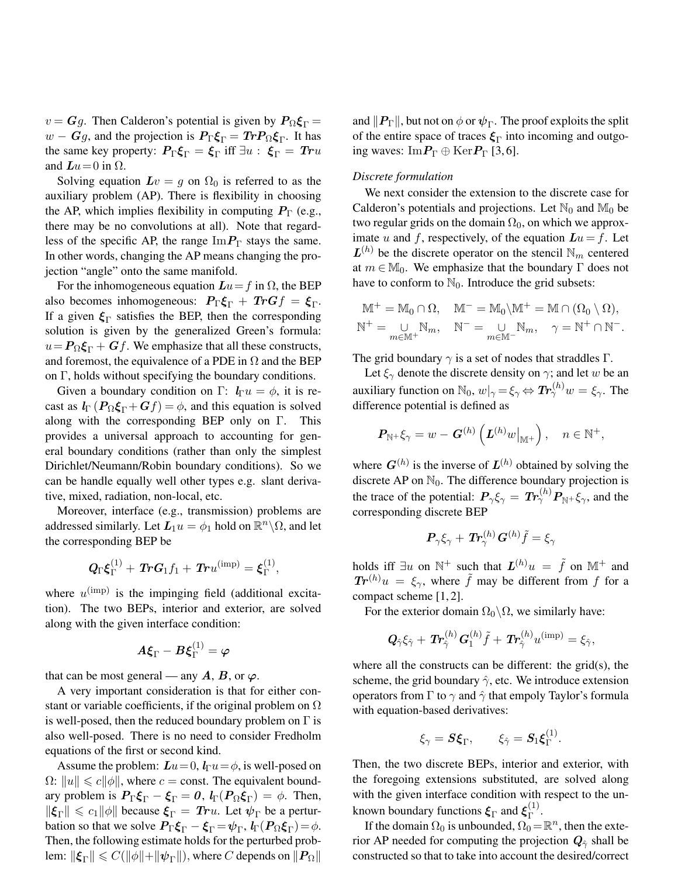$v = Gg$ . Then Calderon's potential is given by  $P_{\Omega} \xi_{\Gamma} =$  $w - Gg$ , and the projection is  $P_{\Gamma} \xi_{\Gamma} = Tr P_{\Omega} \xi_{\Gamma}$ . It has the same key property:  $P_{\Gamma} \xi_{\Gamma} = \xi_{\Gamma}$  iff  $\exists u : \xi_{\Gamma} = Tru$ and  $Lu=0$  in  $\Omega$ .

Solving equation  $Lv = g$  on  $\Omega_0$  is referred to as the auxiliary problem (AP). There is flexibility in choosing the AP, which implies flexibility in computing  $P_{\Gamma}$  (e.g., there may be no convolutions at all). Note that regardless of the specific AP, the range  $\text{Im} \mathbf{P}_{\Gamma}$  stays the same. In other words, changing the AP means changing the projection "angle" onto the same manifold.

For the inhomogeneous equation  $Lu = f$  in  $\Omega$ , the BEP also becomes inhomogeneous:  $P_{\Gamma} \xi_{\Gamma} + Tr G f = \xi_{\Gamma}$ . If a given  $\xi_{\Gamma}$  satisfies the BEP, then the corresponding solution is given by the generalized Green's formula:  $u = P_{\Omega} \xi_{\Gamma} + Gf$ . We emphasize that all these constructs, and foremost, the equivalence of a PDE in  $\Omega$  and the BEP on  $\Gamma$ , holds without specifying the boundary conditions.

Given a boundary condition on  $\Gamma: I_{\Gamma}u = \phi$ , it is recast as  $\mathbf{l}_{\Gamma}$  ( $\mathbf{P}_{\Omega} \boldsymbol{\xi}_{\Gamma} + \mathbf{G} f$ ) =  $\phi$ , and this equation is solved along with the corresponding BEP only on Γ. This provides a universal approach to accounting for general boundary conditions (rather than only the simplest Dirichlet/Neumann/Robin boundary conditions). So we can be handle equally well other types e.g. slant derivative, mixed, radiation, non-local, etc.

Moreover, interface (e.g., transmission) problems are addressed similarly. Let  $\bar{L}_1 u = \phi_1$  hold on  $\mathbb{R}^n \backslash \Omega$ , and let the corresponding BEP be

$$
\boldsymbol{Q}_{\Gamma}\boldsymbol{\xi}_{\Gamma}^{(1)}+\boldsymbol{Tr}\boldsymbol{G}_1f_1+\boldsymbol{Tr}u^{(\mathrm{imp})}=\boldsymbol{\xi}_{\Gamma}^{(1)},
$$

where  $u^{(imp)}$  is the impinging field (additional excitation). The two BEPs, interior and exterior, are solved along with the given interface condition:

$$
\pmb{A}\pmb{\xi}_\Gamma-\pmb{B}\pmb{\xi}_\Gamma^{(1)}=\pmb{\varphi}
$$

that can be most general — any  $A$ ,  $B$ , or  $\varphi$ .

A very important consideration is that for either constant or variable coefficients, if the original problem on  $\Omega$ is well-posed, then the reduced boundary problem on  $\Gamma$  is also well-posed. There is no need to consider Fredholm equations of the first or second kind.

Assume the problem:  $\mathbf{L}u = 0$ ,  $\mathbf{l}_{\Gamma}u = \phi$ , is well-posed on  $\Omega: ||u|| \leq c||\phi||$ , where  $c =$  const. The equivalent boundary problem is  $P_{\Gamma} \xi_{\Gamma} - \xi_{\Gamma} = 0$ ,  $l_{\Gamma} (P_{\Omega} \xi_{\Gamma}) = \phi$ . Then,  $\|\boldsymbol{\xi}_{\Gamma}\| \leq c_1 \|\phi\|$  because  $\boldsymbol{\xi}_{\Gamma} = \boldsymbol{T}ru$ . Let  $\psi_{\Gamma}$  be a perturbation so that we solve  $P_{\Gamma} \xi_{\Gamma} - \xi_{\Gamma} = \psi_{\Gamma}$ ,  $l_{\Gamma} (P_{\Omega} \xi_{\Gamma}) = \phi$ . Then, the following estimate holds for the perturbed problem:  $\|\boldsymbol{\xi}_{\Gamma}\| \leq C(\|\phi\|+\|\boldsymbol{\psi}_{\Gamma}\|)$ , where C depends on  $\|\boldsymbol{P}_{\Omega}\|$ 

and  $||P_{\Gamma}||$ , but not on  $\phi$  or  $\psi_{\Gamma}$ . The proof exploits the split of the entire space of traces  $\xi_{\Gamma}$  into incoming and outgoing waves:  $\text{Im} \boldsymbol{P}_{\Gamma} \oplus \text{Ker} \boldsymbol{P}_{\Gamma}$  [3,6].

# *Discrete formulation*

We next consider the extension to the discrete case for Calderon's potentials and projections. Let  $\mathbb{N}_0$  and  $\mathbb{M}_0$  be two regular grids on the domain  $\Omega_0$ , on which we approximate u and f, respectively, of the equation  $Lu = f$ . Let  $L^{(h)}$  be the discrete operator on the stencil  $\mathbb{N}_m$  centered at  $m \in \mathbb{M}_0$ . We emphasize that the boundary  $\Gamma$  does not have to conform to  $\mathbb{N}_0$ . Introduce the grid subsets:

$$
\mathbb{M}^+ = \mathbb{M}_0 \cap \Omega, \quad \mathbb{M}^- = \mathbb{M}_0 \backslash \mathbb{M}^+ = \mathbb{M} \cap (\Omega_0 \setminus \Omega),
$$
  

$$
\mathbb{N}^+ = \bigcup_{m \in \mathbb{M}^+} \mathbb{N}_m, \quad \mathbb{N}^- = \bigcup_{m \in \mathbb{M}^-} \mathbb{N}_m, \quad \gamma = \mathbb{N}^+ \cap \mathbb{N}^-.
$$

The grid boundary  $\gamma$  is a set of nodes that straddles  $\Gamma$ .

Let  $\xi_{\gamma}$  denote the discrete density on  $\gamma$ ; and let w be an auxiliary function on  $\mathbb{N}_0$ ,  $w|_{\gamma} = \xi_{\gamma} \Leftrightarrow \textit{Tr}_{\gamma}^{(h)}w = \xi_{\gamma}$ . The difference potential is defined as

$$
\boldsymbol{P}_{\mathbb{N}^+} \xi_{\gamma} = w - \boldsymbol{G}^{(h)} \left( \boldsymbol{L}^{(h)} w \big|_{\mathbb{M}^+} \right), \quad n \in \mathbb{N}^+,
$$

where  $G^{(h)}$  is the inverse of  $L^{(h)}$  obtained by solving the discrete AP on  $\mathbb{N}_0$ . The difference boundary projection is the trace of the potential:  $P_{\gamma} \xi_{\gamma} = \textit{Tr}_{\gamma}^{(h)} P_{\mathbb{N}^+} \xi_{\gamma}$ , and the corresponding discrete BEP

$$
\boldsymbol{P}_{\gamma}\xi_{\gamma}+\boldsymbol{\mathit{Tr}}_{\gamma}^{(h)}\boldsymbol{\mathit{G}}^{(h)}\tilde{f}=\xi_{\gamma}
$$

holds iff  $\exists u$  on  $\mathbb{N}^+$  such that  $\mathcal{L}^{(h)}u = \tilde{f}$  on  $\mathbb{M}^+$  and  $\mathbf{Tr}^{(h)}u = \xi_{\gamma}$ , where  $\tilde{f}$  may be different from f for a compact scheme [1, 2].

For the exterior domain  $\Omega_0 \backslash \Omega$ , we similarly have:

$$
\boldsymbol Q_{\hat \gamma} \xi_{\hat \gamma} + \operatorname{\boldsymbol{Tr}}_{\hat \gamma}^{(h)} \boldsymbol G_1^{(h)} \tilde f + \operatorname{\boldsymbol{Tr}}_{\hat \gamma}^{(h)} u^{(\text{imp})} = \xi_{\hat \gamma},
$$

where all the constructs can be different: the grid(s), the scheme, the grid boundary  $\hat{\gamma}$ , etc. We introduce extension operators from  $\Gamma$  to  $\gamma$  and  $\hat{\gamma}$  that empoly Taylor's formula with equation-based derivatives:

$$
\xi_{\gamma} = S\xi_{\Gamma}, \qquad \xi_{\hat{\gamma}} = S_1\xi_{\Gamma}^{(1)}.
$$

Then, the two discrete BEPs, interior and exterior, with the foregoing extensions substituted, are solved along with the given interface condition with respect to the unknown boundary functions  $\boldsymbol{\xi }_{\Gamma }$  and  $\boldsymbol{\xi }_{\Gamma }^{(1)}$  $\Gamma^{(1)}$ .

If the domain  $\Omega_0$  is unbounded,  $\Omega_0 = \mathbb{R}^n$ , then the exterior AP needed for computing the projection  $Q_{\hat{\gamma}}$  shall be constructed so that to take into account the desired/correct